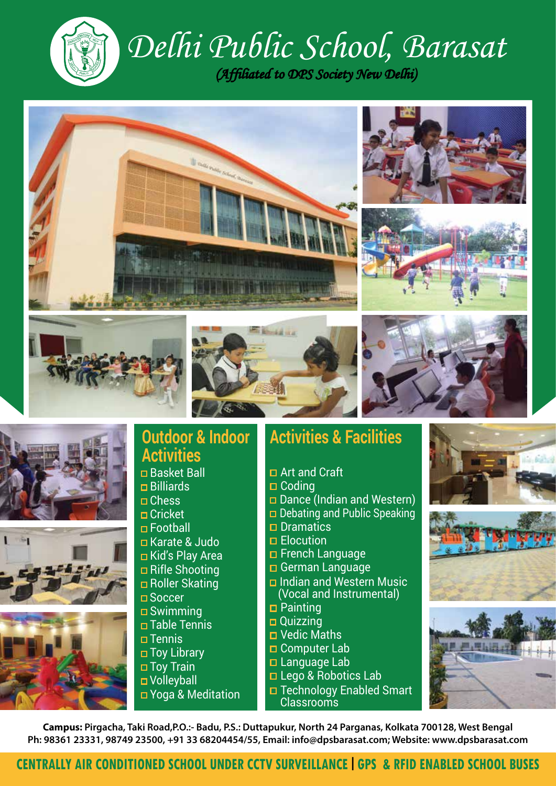

# *Delhi Public School, Barasat*









### **Outdoor & Indoor Activities**

- Basket Ball
- Billiards
- □ Chess □ Cricket
- Football
- Karate & Judo
- Kid's Play Area
- Rifle Shooting
- Roller Skating
- □ Soccer
- Swimming
- Table Tennis
- $\Box$ Tennis
- Toy Library
- Toy Train
- **D** Volleyball
- Yoga & Meditation

# **Activities & Facilities**

- Art and Craft
- $\Box$  Coding
- Dance (Indian and Western)
- $\Box$  Debating and Public Speaking
- $\square$  Dramatics
- **Elocution**
- French Language
- **□ German Language**
- **D** Indian and Western Music (Vocal and Instrumental)
- **D** Painting
- Quizzing
- Vedic Maths
- □ Computer Lab
- Language Lab
- Lego & Robotics Lab
- □ Technology Enabled Smart Classrooms







**Campus: Pirgacha, Taki Road,P.O.:- Badu, P.S.: Duttapukur, North 24 Parganas, Kolkata 700128, West Bengal Ph: 98361 23331, 98749 23500, +91 33 68204454/55, Email: info@dpsbarasat.com; Website: www.dpsbarasat.com**